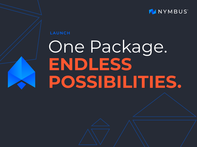

### **LAUNCH**

# One Package. **ENDLESS POSSIBILITIES.**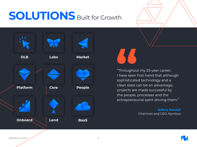## **SOLUTIONS** Built for Growth



"Throughout my 25-year career, I have seen first hand that although sophisticated technology and a clean slate can be an advantage, projects are made successful by the people, processes and the entrepreneurial spirit driving them."

> **Jeffery Kendall** Chairman and CEO, Nymbus



Nymbus Launch 2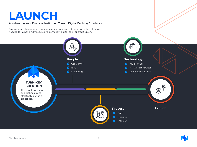### **LAUNCH**

#### **Accelerating Your Financial Institution Toward Digital Banking Excellence**

A proven turn-key solution that equips your financial institution with the solutions needed to launch a fully secure and compliant digital bank or credit union.



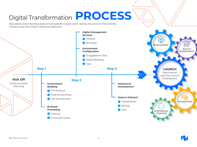## Digital Transformation **PROCESS**

Discussions about Nymbus products are specific to each client, taking into account their existing infrastructure and unique needs and objectives.



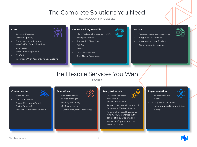### The Complete Solutions You Need

**TECHNOLOGY & PROCESSES**

#### **Core**

- Business Deposits
- Account Opening
- Statements, Check Images, Year-End Tax Forms & Notices
- Debit Cards
- Items Processing & ACH
- BSA/AML
- Integration With Account Analysis Systems



#### **Online Banking & Mobile**

- Multi-Factor Authentication (MFA)
- Money Movement
- Transaction Cleansing
- Bill Pay
- Alerts
- Card Management
- Truly Native Experience



#### **Onboard**

- Fast and secure user experience
- Integrated KYC and KYB
- Integrated account funding
- Digital credential issuance

### The Flexible Services You Want

**PEOPLE**

#### **Contact center**

- Inbound Calls
- Outbound Return Calls
- Secure Messaging (Email, Online Banking)
- Account Maintenance Support



- Dedicated client service manager
- Monthly Reporting
- GL Reconciliation
- ACH Stop Payment Processing

#### **Ready to Launch**



- for Possible Fraudulent Activity
- Research Requests in support of Customer's BSA/AML Program
- Referral of Unusual Suspicious Activity (USA) identified in the course of regular operations
- Fraudulent/Operational Loss Account Closure

#### **Implementation**

- Dedicated Project Manager
- 
- Complete Project Plan
- Implementation Documentation
- Training



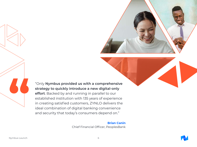

"Only **Nymbus provided us with a comprehensive strategy to quickly introduce a new digital-only effort**. Backed by and running in parallel to our established institution with 135 years of experience in creating satisfied customers, ZYNLO delivers the ideal combination of digital banking convenience and security that today's consumers depend on."

#### **Brian Canin**

Chief Financial Officer, PeoplesBank

**"**

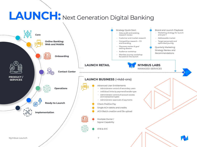# **LAUNCH:** Next Generation Digital Banking